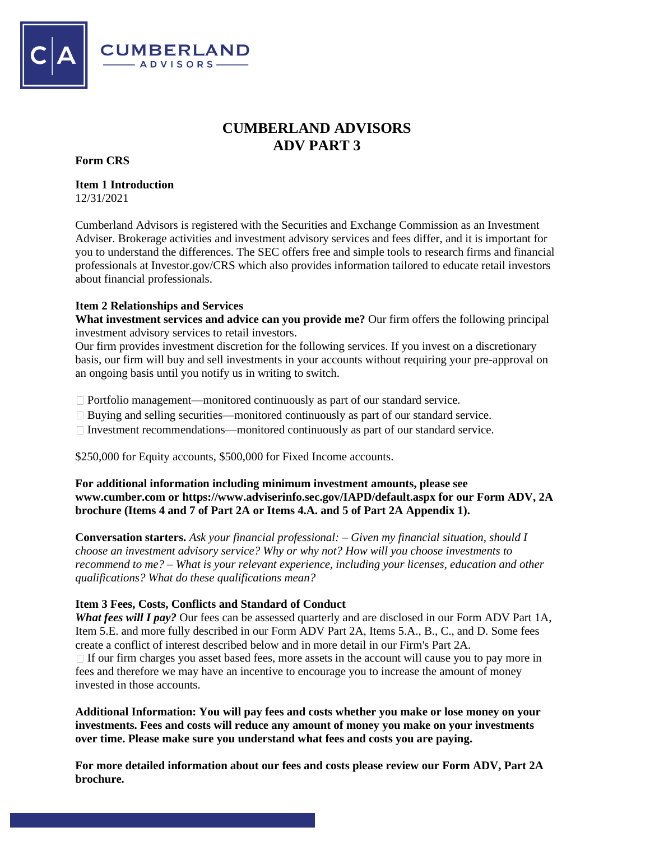

# **CUMBERLAND ADVISORS ADV PART 3**

**Form CRS**

**Item 1 Introduction**  12/31/2021

Cumberland Advisors is registered with the Securities and Exchange Commission as an Investment Adviser. Brokerage activities and investment advisory services and fees differ, and it is important for you to understand the differences. The SEC offers free and simple tools to research firms and financial professionals at Investor.gov/CRS which also provides information tailored to educate retail investors about financial professionals.

## **Item 2 Relationships and Services**

**What investment services and advice can you provide me?** Our firm offers the following principal investment advisory services to retail investors.

Our firm provides investment discretion for the following services. If you invest on a discretionary basis, our firm will buy and sell investments in your accounts without requiring your pre-approval on an ongoing basis until you notify us in writing to switch.

 $\Box$  Portfolio management—monitored continuously as part of our standard service.

- Buying and selling securities—monitored continuously as part of our standard service.
- Investment recommendations—monitored continuously as part of our standard service.

\$250,000 for Equity accounts, \$500,000 for Fixed Income accounts.

## **For additional information including minimum investment amounts, please see www.cumber.com or https://www.adviserinfo.sec.gov/IAPD/default.aspx for our Form ADV, 2A brochure (Items 4 and 7 of Part 2A or Items 4.A. and 5 of Part 2A Appendix 1).**

**Conversation starters.** *Ask your financial professional: – Given my financial situation, should I choose an investment advisory service? Why or why not? How will you choose investments to recommend to me? – What is your relevant experience, including your licenses, education and other qualifications? What do these qualifications mean?* 

## **Item 3 Fees, Costs, Conflicts and Standard of Conduct**

*What fees will I pay?* Our fees can be assessed quarterly and are disclosed in our Form ADV Part 1A, Item 5.E. and more fully described in our Form ADV Part 2A, Items 5.A., B., C., and D. Some fees create a conflict of interest described below and in more detail in our Firm's Part 2A.  $\Box$  If our firm charges you asset based fees, more assets in the account will cause you to pay more in fees and therefore we may have an incentive to encourage you to increase the amount of money invested in those accounts.

**Additional Information: You will pay fees and costs whether you make or lose money on your investments. Fees and costs will reduce any amount of money you make on your investments over time. Please make sure you understand what fees and costs you are paying.** 

**For more detailed information about our fees and costs please review our Form ADV, Part 2A brochure.**